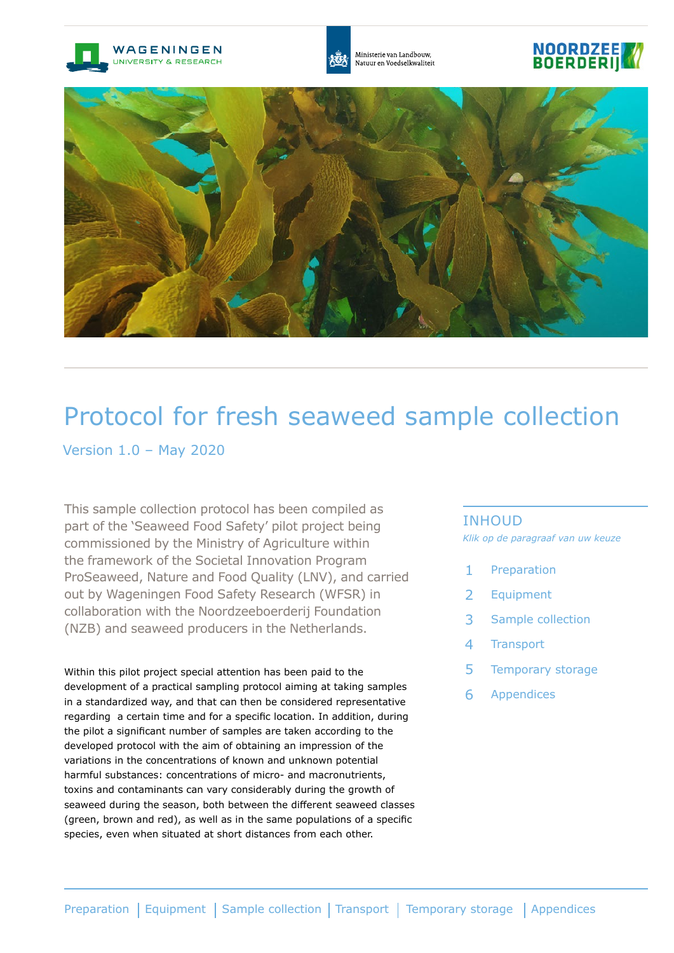



Ministerie van Landbouw, Natuur en Voedselkwaliteit





# Protocol for fresh seaweed sample collection

Version 1.0 – May 2020

This sample collection protocol has been compiled as part of the 'Seaweed Food Safety' pilot project being commissioned by the Ministry of Agriculture within the framework of the Societal Innovation Program ProSeaweed, Nature and Food Quality (LNV), and carried out by Wageningen Food Safety Research (WFSR) in collaboration with the Noordzeeboerderij Foundation (NZB) and seaweed producers in the Netherlands.

Within this pilot project special attention has been paid to the development of a practical sampling protocol aiming at taking samples in a standardized way, and that can then be considered representative regarding a certain time and for a specific location. In addition, during the pilot a significant number of samples are taken according to the developed protocol with the aim of obtaining an impression of the variations in the concentrations of known and unknown potential harmful substances: concentrations of micro- and macronutrients, toxins and contaminants can vary considerably during the growth of seaweed during the season, both between the different seaweed classes (green, brown and red), as well as in the same populations of a specific species, even when situated at short distances from each other.

#### INHOUD

*Klik op de paragraaf van uw keuze*

- 1 [Preparation](#page-1-0)
- 2 [Equipment](#page-2-0)
- [3 Sample collection](#page-2-1)
- 4 [Transport](#page-6-0)
- 5 [Temporary storage](#page-6-1)
- 6 [Appendices](#page-7-0)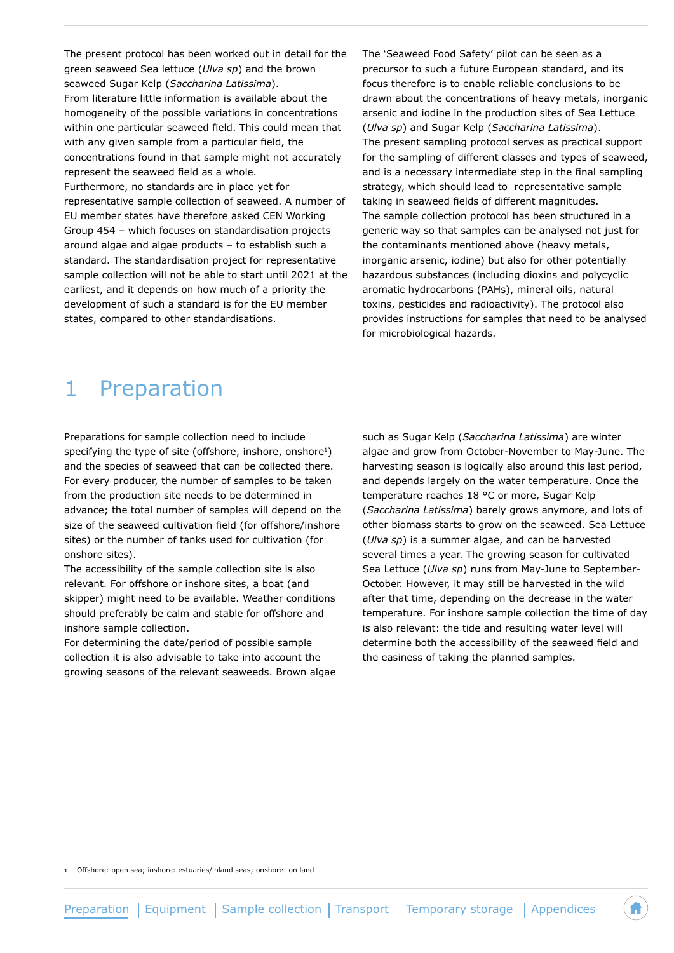The present protocol has been worked out in detail for the green seaweed Sea lettuce (*Ulva sp*) and the brown seaweed Sugar Kelp (*Saccharina Latissima*). From literature little information is available about the homogeneity of the possible variations in concentrations within one particular seaweed field. This could mean that with any given sample from a particular field, the concentrations found in that sample might not accurately represent the seaweed field as a whole. Furthermore, no standards are in place yet for representative sample collection of seaweed. A number of EU member states have therefore asked CEN Working Group 454 – which focuses on standardisation projects around algae and algae products – to establish such a standard. The standardisation project for representative sample collection will not be able to start until 2021 at the earliest, and it depends on how much of a priority the development of such a standard is for the EU member states, compared to other standardisations.

The 'Seaweed Food Safety' pilot can be seen as a precursor to such a future European standard, and its focus therefore is to enable reliable conclusions to be drawn about the concentrations of heavy metals, inorganic arsenic and iodine in the production sites of Sea Lettuce (*Ulva sp*) and Sugar Kelp (*Saccharina Latissima*). The present sampling protocol serves as practical support for the sampling of different classes and types of seaweed, and is a necessary intermediate step in the final sampling strategy, which should lead to representative sample taking in seaweed fields of different magnitudes. The sample collection protocol has been structured in a generic way so that samples can be analysed not just for the contaminants mentioned above (heavy metals, inorganic arsenic, iodine) but also for other potentially hazardous substances (including dioxins and polycyclic aromatic hydrocarbons (PAHs), mineral oils, natural toxins, pesticides and radioactivity). The protocol also provides instructions for samples that need to be analysed for microbiological hazards.

### <span id="page-1-0"></span>1 Preparation

Preparations for sample collection need to include specifying the type of site (offshore, inshore, onshore<sup>1</sup>) and the species of seaweed that can be collected there. For every producer, the number of samples to be taken from the production site needs to be determined in advance; the total number of samples will depend on the size of the seaweed cultivation field (for offshore/inshore sites) or the number of tanks used for cultivation (for onshore sites).

The accessibility of the sample collection site is also relevant. For offshore or inshore sites, a boat (and skipper) might need to be available. Weather conditions should preferably be calm and stable for offshore and inshore sample collection.

For determining the date/period of possible sample collection it is also advisable to take into account the growing seasons of the relevant seaweeds. Brown algae such as Sugar Kelp (*Saccharina Latissima*) are winter algae and grow from October-November to May-June. The harvesting season is logically also around this last period, and depends largely on the water temperature. Once the temperature reaches 18 °C or more, Sugar Kelp (*Saccharina Latissima*) barely grows anymore, and lots of other biomass starts to grow on the seaweed. Sea Lettuce (*Ulva sp*) is a summer algae, and can be harvested several times a year. The growing season for cultivated Sea Lettuce (*Ulva sp*) runs from May-June to September-October. However, it may still be harvested in the wild after that time, depending on the decrease in the water temperature. For inshore sample collection the time of day is also relevant: the tide and resulting water level will determine both the accessibility of the seaweed field and the easiness of taking the planned samples.

1 Offshore: open sea; inshore: estuaries/inland seas; onshore: on land

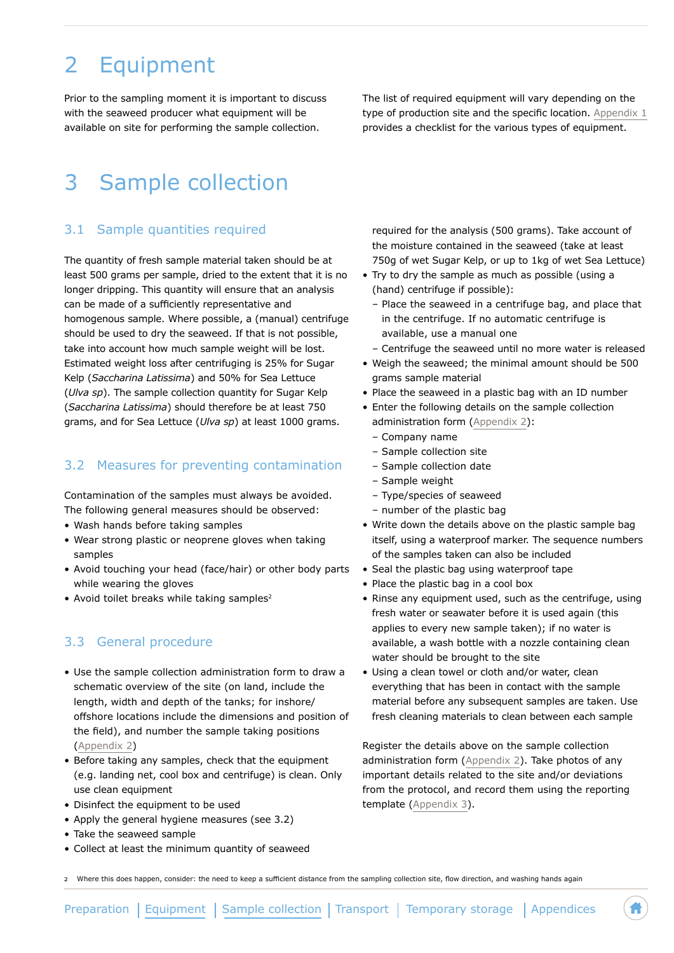## <span id="page-2-0"></span>2 Equipment

Prior to the sampling moment it is important to discuss with the seaweed producer what equipment will be available on site for performing the sample collection.

The list of required equipment will vary depending on the type of production site and the specific location. [Appendix 1](#page-8-0) provides a checklist for the various types of equipment.

### <span id="page-2-1"></span>3 Sample collection

### 3.1 Sample quantities required

The quantity of fresh sample material taken should be at least 500 grams per sample, dried to the extent that it is no longer dripping. This quantity will ensure that an analysis can be made of a sufficiently representative and homogenous sample. Where possible, a (manual) centrifuge should be used to dry the seaweed. If that is not possible, take into account how much sample weight will be lost. Estimated weight loss after centrifuging is 25% for Sugar Kelp (*Saccharina Latissima*) and 50% for Sea Lettuce (*Ulva sp*). The sample collection quantity for Sugar Kelp (*Saccharina Latissima*) should therefore be at least 750 grams, and for Sea Lettuce (*Ulva sp*) at least 1000 grams.

### <span id="page-2-3"></span>3.2 Measures for preventing contamination

Contamination of the samples must always be avoided. The following general measures should be observed:

- Wash hands before taking samples
- Wear strong plastic or neoprene gloves when taking samples
- Avoid touching your head (face/hair) or other body parts while wearing the gloves
- Avoid toilet breaks while taking samples<sup>2</sup>

### <span id="page-2-2"></span>3.3 General procedure

- Use the sample collection administration form to draw a schematic overview of the site (on land, include the length, width and depth of the tanks; for inshore/ offshore locations include the dimensions and position of the field), and number the sample taking positions [\(Appendix 2\)](#page-9-0)
- Before taking any samples, check that the equipment (e.g. landing net, cool box and centrifuge) is clean. Only use clean equipment
- Disinfect the equipment to be used
- Apply the general hygiene measures (see 3.2)
- Take the seaweed sample
- Collect at least the minimum quantity of seaweed

required for the analysis (500 grams). Take account of the moisture contained in the seaweed (take at least 750g of wet Sugar Kelp, or up to 1kg of wet Sea Lettuce)

- Try to dry the sample as much as possible (using a
- (hand) centrifuge if possible):
	- Place the seaweed in a centrifuge bag, and place that in the centrifuge. If no automatic centrifuge is available, use a manual one
	- Centrifuge the seaweed until no more water is released
- Weigh the seaweed; the minimal amount should be 500 grams sample material
- Place the seaweed in a plastic bag with an ID number
- Enter the following details on the sample collection administration form [\(Appendix 2](#page-9-0)):
	- Company name
	- Sample collection site
	- Sample collection date
	- Sample weight
	- Type/species of seaweed
	- number of the plastic bag
- Write down the details above on the plastic sample bag itself, using a waterproof marker. The sequence numbers of the samples taken can also be included
- Seal the plastic bag using waterproof tape
- Place the plastic bag in a cool box
- Rinse any equipment used, such as the centrifuge, using fresh water or seawater before it is used again (this applies to every new sample taken); if no water is available, a wash bottle with a nozzle containing clean water should be brought to the site
- Using a clean towel or cloth and/or water, clean everything that has been in contact with the sample material before any subsequent samples are taken. Use fresh cleaning materials to clean between each sample

Register the details above on the sample collection administration form [\(Appendix 2](#page-9-0)). Take photos of any important details related to the site and/or deviations from the protocol, and record them using the reporting template ([Appendix 3\)](#page-11-0).

2 Where this does happen, consider: the need to keep a sufficient distance from the sampling collection site, flow direction, and washing hands again

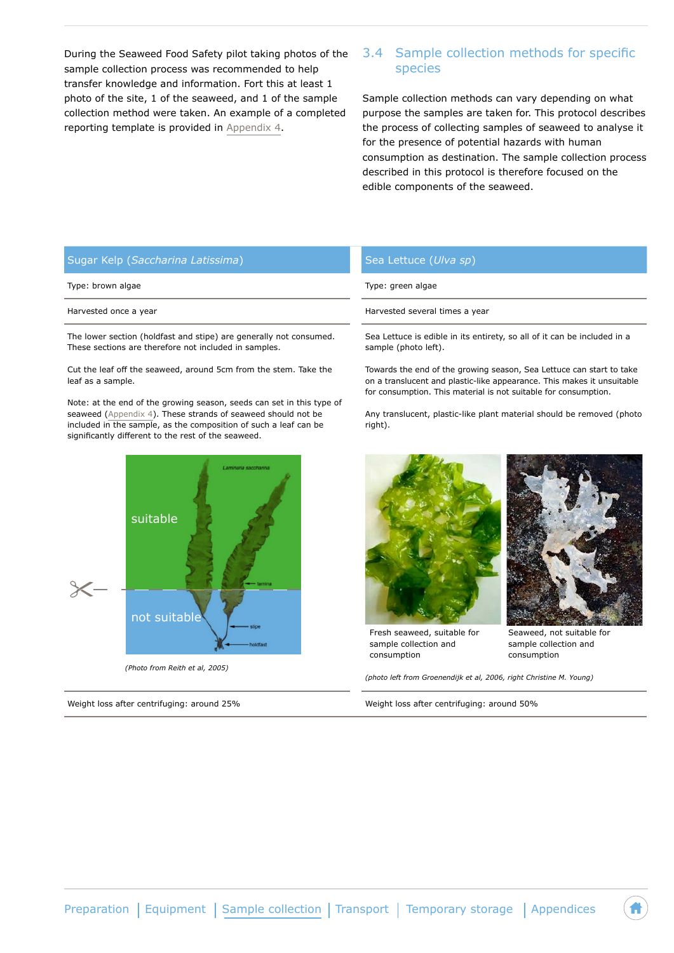During the Seaweed Food Safety pilot taking photos of the sample collection process was recommended to help transfer knowledge and information. Fort this at least 1 photo of the site, 1 of the seaweed, and 1 of the sample collection method were taken. An example of a completed reporting template is provided in [Appendix 4](#page-12-0).

#### 3.4 Sample collection methods for specific species

Sample collection methods can vary depending on what purpose the samples are taken for. This protocol describes the process of collecting samples of seaweed to analyse it for the presence of potential hazards with human consumption as destination. The sample collection process described in this protocol is therefore focused on the edible components of the seaweed.

#### Sugar Kelp (*Saccharina Latissima*) Sugar Kelp (*Ulva sp*)

The lower section (holdfast and stipe) are generally not consumed. These sections are therefore not included in samples.

Cut the leaf off the seaweed, around 5cm from the stem. Take the leaf as a sample.

Note: at the end of the growing season, seeds can set in this type of seaweed ([Appendix 4](#page-12-0)). These strands of seaweed should not be included in the sample, as the composition of such a leaf can be significantly different to the rest of the seaweed.



*(Photo from Reith et al, 2005)*

Weight loss after centrifuging: around 25% Weight loss after centrifuging: around 50%

Type: brown algae Type: cown algae Type: green algae

Harvested once a year **Harvested several times a year** Harvested several times a year

Sea Lettuce is edible in its entirety, so all of it can be included in a sample (photo left).

Towards the end of the growing season, Sea Lettuce can start to take on a translucent and plastic-like appearance. This makes it unsuitable for consumption. This material is not suitable for consumption.

Any translucent, plastic-like plant material should be removed (photo right).



Fresh seaweed, suitable for sample collection and consumption

Seaweed, not suitable for sample collection and consumption

*(photo left from Groenendijk et al, 2006, right Christine M. Young)*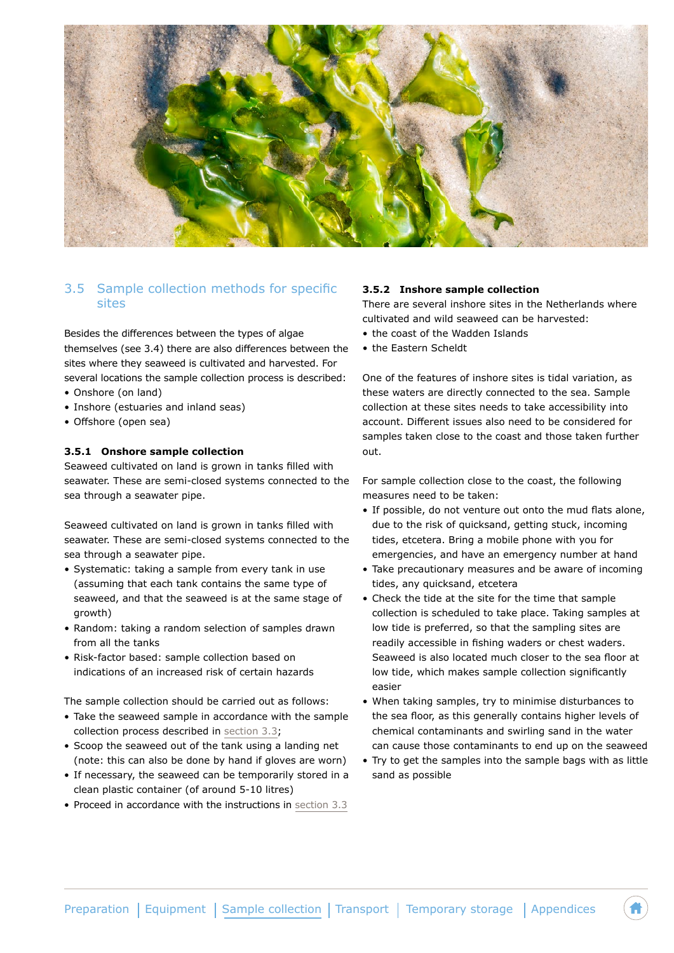

### 3.5 Sample collection methods for specific sites

Besides the differences between the types of algae themselves (see 3.4) there are also differences between the sites where they seaweed is cultivated and harvested. For several locations the sample collection process is described:

- Onshore (on land)
- Inshore (estuaries and inland seas)
- Offshore (open sea)

#### **3.5.1 Onshore sample collection**

Seaweed cultivated on land is grown in tanks filled with seawater. These are semi-closed systems connected to the sea through a seawater pipe.

Seaweed cultivated on land is grown in tanks filled with seawater. These are semi-closed systems connected to the sea through a seawater pipe.

- Systematic: taking a sample from every tank in use (assuming that each tank contains the same type of seaweed, and that the seaweed is at the same stage of growth)
- Random: taking a random selection of samples drawn from all the tanks
- Risk-factor based: sample collection based on indications of an increased risk of certain hazards

The sample collection should be carried out as follows:

- Take the seaweed sample in accordance with the sample collection process described in [section 3.3](#page-2-2);
- Scoop the seaweed out of the tank using a landing net (note: this can also be done by hand if gloves are worn)
- If necessary, the seaweed can be temporarily stored in a clean plastic container (of around 5-10 litres)
- Proceed in accordance with the instructions in [section 3.3](#page-2-2)

#### **3.5.2 Inshore sample collection**

There are several inshore sites in the Netherlands where cultivated and wild seaweed can be harvested:

- the coast of the Wadden Islands
- the Eastern Scheldt

One of the features of inshore sites is tidal variation, as these waters are directly connected to the sea. Sample collection at these sites needs to take accessibility into account. Different issues also need to be considered for samples taken close to the coast and those taken further out.

For sample collection close to the coast, the following measures need to be taken:

- If possible, do not venture out onto the mud flats alone, due to the risk of quicksand, getting stuck, incoming tides, etcetera. Bring a mobile phone with you for emergencies, and have an emergency number at hand
- Take precautionary measures and be aware of incoming tides, any quicksand, etcetera
- Check the tide at the site for the time that sample collection is scheduled to take place. Taking samples at low tide is preferred, so that the sampling sites are readily accessible in fishing waders or chest waders. Seaweed is also located much closer to the sea floor at low tide, which makes sample collection significantly easier
- When taking samples, try to minimise disturbances to the sea floor, as this generally contains higher levels of chemical contaminants and swirling sand in the water can cause those contaminants to end up on the seaweed
- Try to get the samples into the sample bags with as little sand as possible

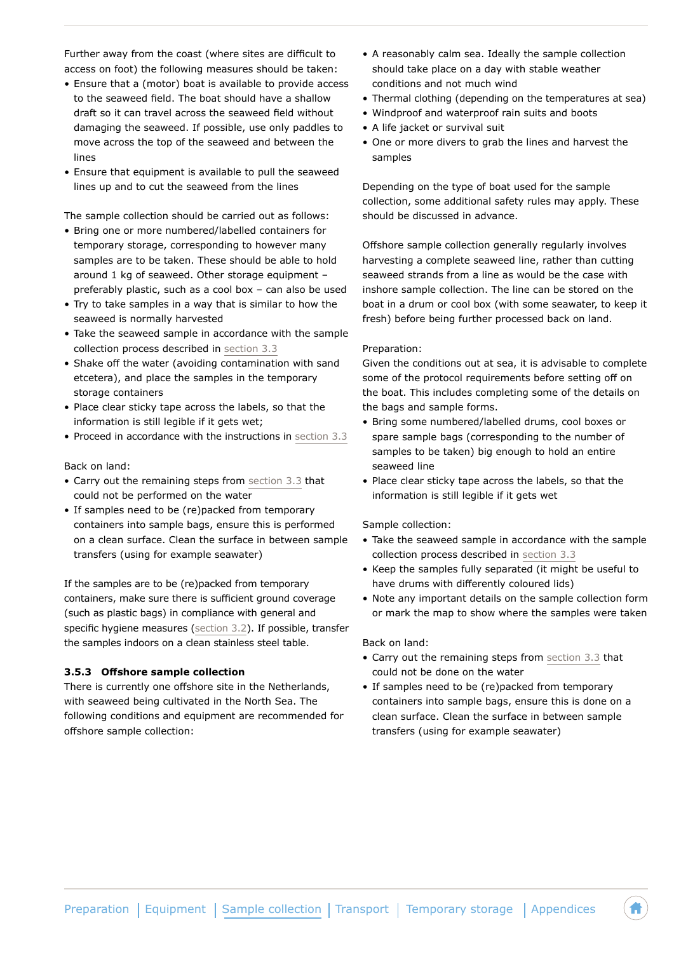Further away from the coast (where sites are difficult to access on foot) the following measures should be taken:

- Ensure that a (motor) boat is available to provide access to the seaweed field. The boat should have a shallow draft so it can travel across the seaweed field without damaging the seaweed. If possible, use only paddles to move across the top of the seaweed and between the lines
- Ensure that equipment is available to pull the seaweed lines up and to cut the seaweed from the lines

The sample collection should be carried out as follows:

- Bring one or more numbered/labelled containers for temporary storage, corresponding to however many samples are to be taken. These should be able to hold around 1 kg of seaweed. Other storage equipment – preferably plastic, such as a cool box – can also be used
- Try to take samples in a way that is similar to how the seaweed is normally harvested
- Take the seaweed sample in accordance with the sample collection process described in [section 3.3](#page-2-2)
- Shake off the water (avoiding contamination with sand etcetera), and place the samples in the temporary storage containers
- Place clear sticky tape across the labels, so that the information is still legible if it gets wet;
- Proceed in accordance with the instructions in [section 3.3](#page-2-2)

#### Back on land:

- Carry out the remaining steps from [section 3.3](#page-2-2) that could not be performed on the water
- If samples need to be (re)packed from temporary containers into sample bags, ensure this is performed on a clean surface. Clean the surface in between sample transfers (using for example seawater)

If the samples are to be (re)packed from temporary containers, make sure there is sufficient ground coverage (such as plastic bags) in compliance with general and specific hygiene measures ([section 3.2\)](#page-2-3). If possible, transfer the samples indoors on a clean stainless steel table.

#### **3.5.3 Offshore sample collection**

There is currently one offshore site in the Netherlands, with seaweed being cultivated in the North Sea. The following conditions and equipment are recommended for offshore sample collection:

- A reasonably calm sea. Ideally the sample collection should take place on a day with stable weather conditions and not much wind
- Thermal clothing (depending on the temperatures at sea)
- Windproof and waterproof rain suits and boots
- A life jacket or survival suit
- One or more divers to grab the lines and harvest the samples

Depending on the type of boat used for the sample collection, some additional safety rules may apply. These should be discussed in advance.

Offshore sample collection generally regularly involves harvesting a complete seaweed line, rather than cutting seaweed strands from a line as would be the case with inshore sample collection. The line can be stored on the boat in a drum or cool box (with some seawater, to keep it fresh) before being further processed back on land.

#### Preparation:

Given the conditions out at sea, it is advisable to complete some of the protocol requirements before setting off on the boat. This includes completing some of the details on the bags and sample forms.

- Bring some numbered/labelled drums, cool boxes or spare sample bags (corresponding to the number of samples to be taken) big enough to hold an entire seaweed line
- Place clear sticky tape across the labels, so that the information is still legible if it gets wet

Sample collection:

- Take the seaweed sample in accordance with the sample collection process described in [section 3.3](#page-2-2)
- Keep the samples fully separated (it might be useful to have drums with differently coloured lids)
- Note any important details on the sample collection form or mark the map to show where the samples were taken

#### Back on land:

- Carry out the remaining steps from [section 3.3](#page-2-2) that could not be done on the water
- If samples need to be (re)packed from temporary containers into sample bags, ensure this is done on a clean surface. Clean the surface in between sample transfers (using for example seawater)

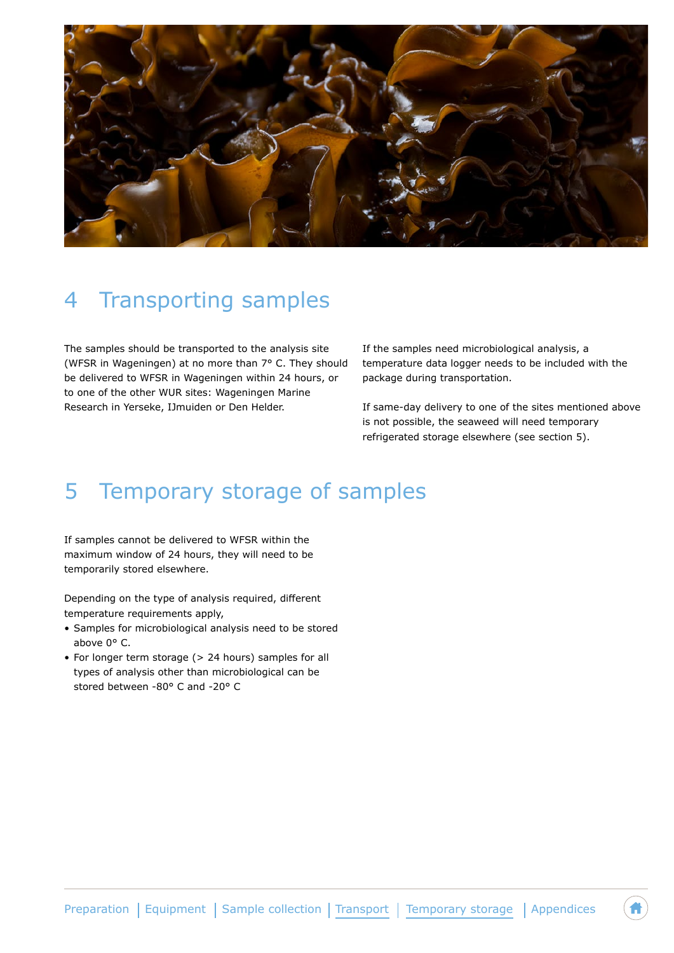

### <span id="page-6-0"></span>4 Transporting samples

The samples should be transported to the analysis site (WFSR in Wageningen) at no more than 7° C. They should be delivered to WFSR in Wageningen within 24 hours, or to one of the other WUR sites: Wageningen Marine Research in Yerseke, IJmuiden or Den Helder.

If the samples need microbiological analysis, a temperature data logger needs to be included with the package during transportation.

If same-day delivery to one of the sites mentioned above is not possible, the seaweed will need temporary refrigerated storage elsewhere (see section 5).

### <span id="page-6-1"></span>5 Temporary storage of samples

If samples cannot be delivered to WFSR within the maximum window of 24 hours, they will need to be temporarily stored elsewhere.

Depending on the type of analysis required, different temperature requirements apply,

- Samples for microbiological analysis need to be stored above 0° C.
- For longer term storage (> 24 hours) samples for all types of analysis other than microbiological can be stored between -80° C and -20° C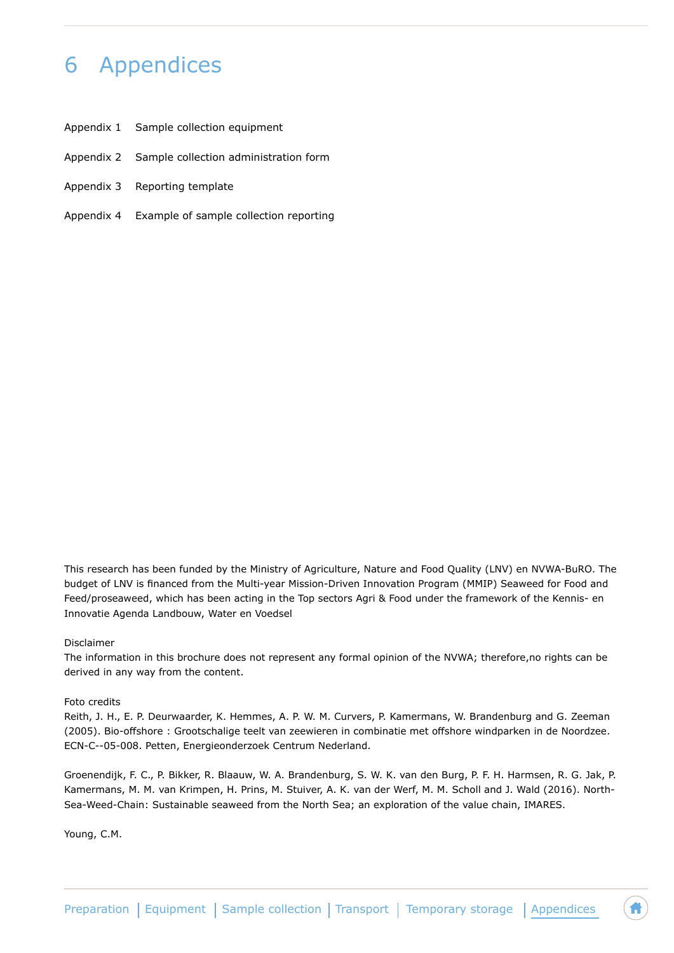### <span id="page-7-0"></span>6 Appendices

- Appendix [1 S](#page-8-0)ample collection equipment
- Appendix [2 S](#page-9-0)ample collection administration form
- Appendix [3 R](#page-11-0)eporting template
- Appendix [4 E](#page-12-0)xample of sample collection reporting

This research has been funded by the Ministry of Agriculture, Nature and Food Quality (LNV) en NVWA-BuRO. The budget of LNV is financed from the Multi-year Mission-Driven Innovation Program (MMIP) Seaweed for Food and Feed/proseaweed, which has been acting in the Top sectors Agri & Food under the framework of the Kennis- en Innovatie Agenda Landbouw, Water en Voedsel

#### Disclaimer

The information in this brochure does not represent any formal opinion of the NVWA; therefore,no rights can be derived in any way from the content.

#### Foto credits

Reith, J. H., E. P. Deurwaarder, K. Hemmes, A. P. W. M. Curvers, P. Kamermans, W. Brandenburg and G. Zeeman (2005). Bio-offshore : Grootschalige teelt van zeewieren in combinatie met offshore windparken in de Noordzee. ECN-C--05-008. Petten, Energieonderzoek Centrum Nederland.

Groenendijk, F. C., P. Bikker, R. Blaauw, W. A. Brandenburg, S. W. K. van den Burg, P. F. H. Harmsen, R. G. Jak, P. Kamermans, M. M. van Krimpen, H. Prins, M. Stuiver, A. K. van der Werf, M. M. Scholl and J. Wald (2016). North-Sea-Weed-Chain: Sustainable seaweed from the North Sea; an exploration of the value chain, IMARES.

Young, C.M.

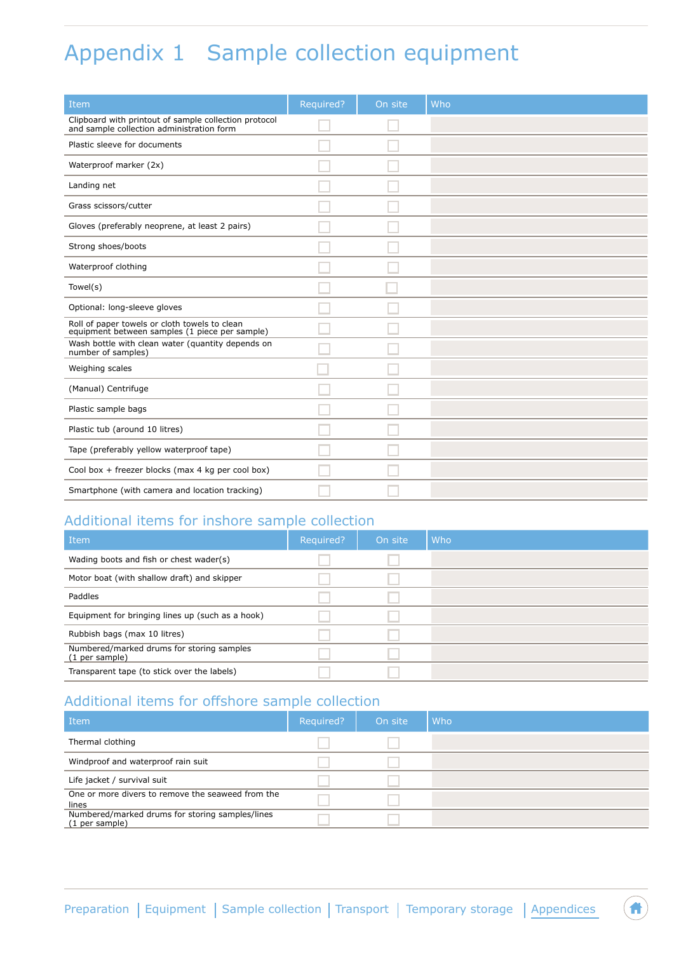## <span id="page-8-0"></span>Appendix 1 Sample collection equipment

| Item                                                                                               | Required? | On site | Who |
|----------------------------------------------------------------------------------------------------|-----------|---------|-----|
| Clipboard with printout of sample collection protocol<br>and sample collection administration form |           |         |     |
| Plastic sleeve for documents                                                                       |           |         |     |
| Waterproof marker (2x)                                                                             |           |         |     |
| Landing net                                                                                        |           |         |     |
| Grass scissors/cutter                                                                              |           |         |     |
| Gloves (preferably neoprene, at least 2 pairs)                                                     |           |         |     |
| Strong shoes/boots                                                                                 |           |         |     |
| Waterproof clothing                                                                                |           |         |     |
| Towel(s)                                                                                           |           |         |     |
| Optional: long-sleeve gloves                                                                       |           |         |     |
| Roll of paper towels or cloth towels to clean<br>equipment between samples (1 piece per sample)    |           |         |     |
| Wash bottle with clean water (quantity depends on<br>number of samples)                            |           |         |     |
| Weighing scales                                                                                    |           |         |     |
| (Manual) Centrifuge                                                                                |           |         |     |
| Plastic sample bags                                                                                |           |         |     |
| Plastic tub (around 10 litres)                                                                     |           |         |     |
| Tape (preferably yellow waterproof tape)                                                           |           |         |     |
| Cool box + freezer blocks (max 4 kg per cool box)                                                  |           |         |     |
| Smartphone (with camera and location tracking)                                                     |           |         |     |

### Additional items for inshore sample collection

| Item                                                        | Required? | On site | Who |
|-------------------------------------------------------------|-----------|---------|-----|
| Wading boots and fish or chest wader(s)                     |           |         |     |
| Motor boat (with shallow draft) and skipper                 |           |         |     |
| Paddles                                                     |           |         |     |
| Equipment for bringing lines up (such as a hook)            |           |         |     |
| Rubbish bags (max 10 litres)                                |           |         |     |
| Numbered/marked drums for storing samples<br>(1 per sample) |           |         |     |
| Transparent tape (to stick over the labels)                 |           |         |     |

### Additional items for offshore sample collection

| <b>Item</b>                                                       | Required? | On site | Who |
|-------------------------------------------------------------------|-----------|---------|-----|
| Thermal clothing                                                  |           |         |     |
| Windproof and waterproof rain suit                                |           |         |     |
| Life jacket / survival suit                                       |           |         |     |
| One or more divers to remove the seaweed from the<br>lines        |           |         |     |
| Numbered/marked drums for storing samples/lines<br>(1 per sample) |           |         |     |

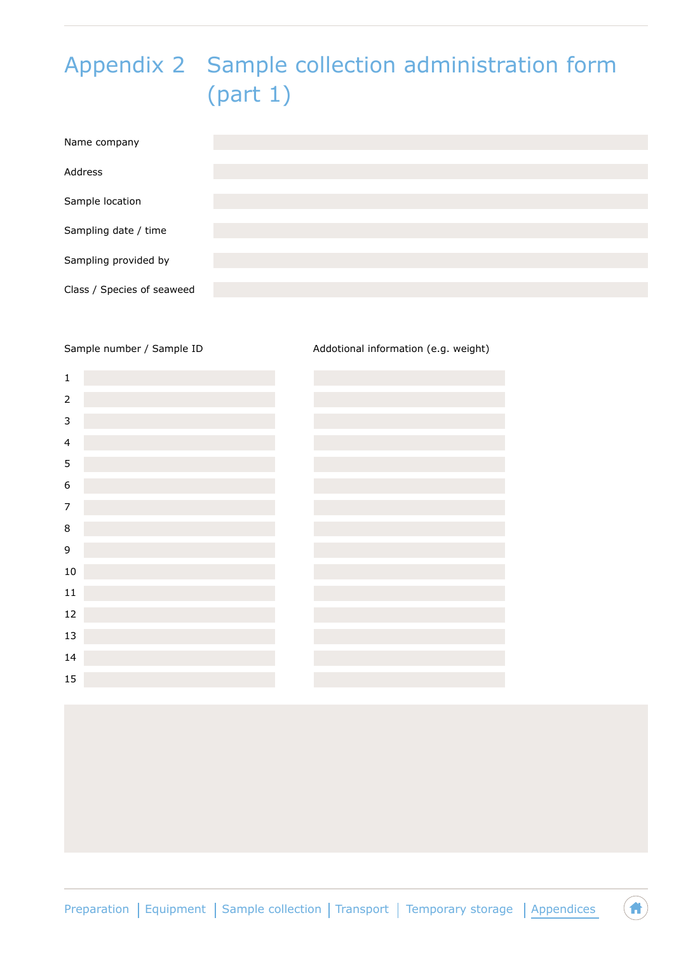## <span id="page-9-0"></span>Appendix 2 Sample collection administration form (part 1)

| Name company               |  |  |
|----------------------------|--|--|
| Address                    |  |  |
| Sample location            |  |  |
| Sampling date / time       |  |  |
| Sampling provided by       |  |  |
| Class / Species of seaweed |  |  |

| $\mathbf{1}$   |  |  |
|----------------|--|--|
| $\overline{c}$ |  |  |
| 3              |  |  |
| 4              |  |  |
| 5              |  |  |
| 6              |  |  |
| 7              |  |  |
| 8              |  |  |
| 9              |  |  |
| 10             |  |  |
| 11             |  |  |
| 12             |  |  |
| 13             |  |  |
| 14             |  |  |
| 15             |  |  |
|                |  |  |

Sample number / Sample ID Addotional information (e.g. weight)

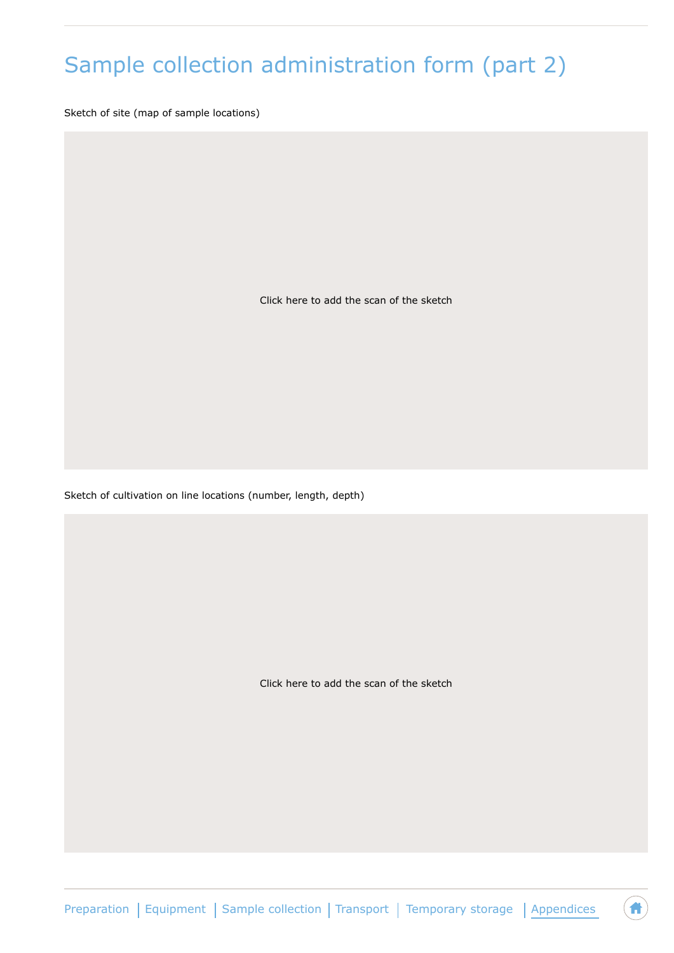## Sample collection administration form (part 2)

Sketch of site (map of sample locations)

Click here to add the scan of the sketch

Sketch of cultivation on line locations (number, length, depth)

Click here to add the scan of the sketch

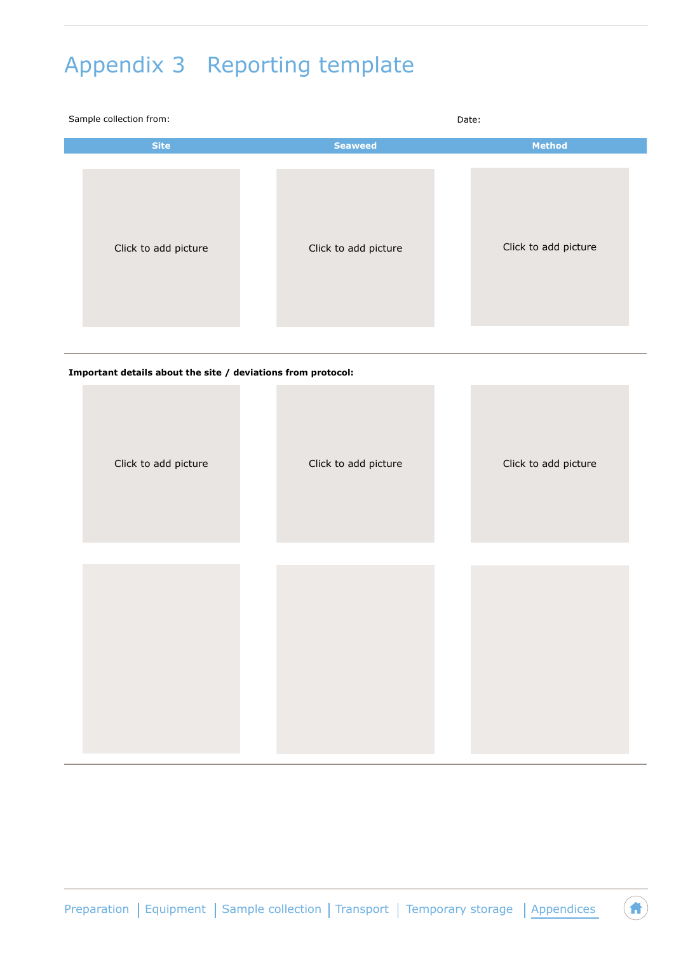## <span id="page-11-0"></span>Appendix 3 Reporting template

| Sample collection from: |                      | Date:                |  |
|-------------------------|----------------------|----------------------|--|
| <b>Site</b>             | <b>Seaweed</b>       | <b>Method</b>        |  |
| Click to add picture    | Click to add picture | Click to add picture |  |

**Important details about the site / deviations from protocol:**

| Click to add picture | Click to add picture | Click to add picture |
|----------------------|----------------------|----------------------|
|                      |                      |                      |

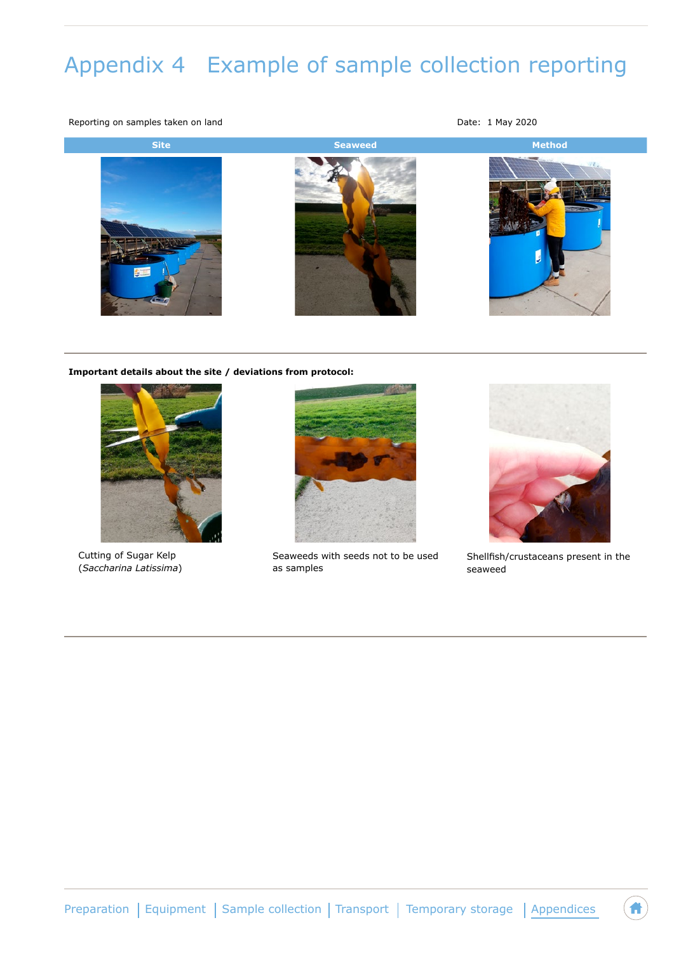## <span id="page-12-0"></span>Appendix 4 Example of sample collection reporting

Reporting on samples taken on land and Date: 1 May 2020







**Important details about the site / deviations from protocol:**



Cutting of Sugar Kelp (*Saccharina Latissima*)



Seaweeds with seeds not to be used as samples



Shellfish/crustaceans present in the seaweed